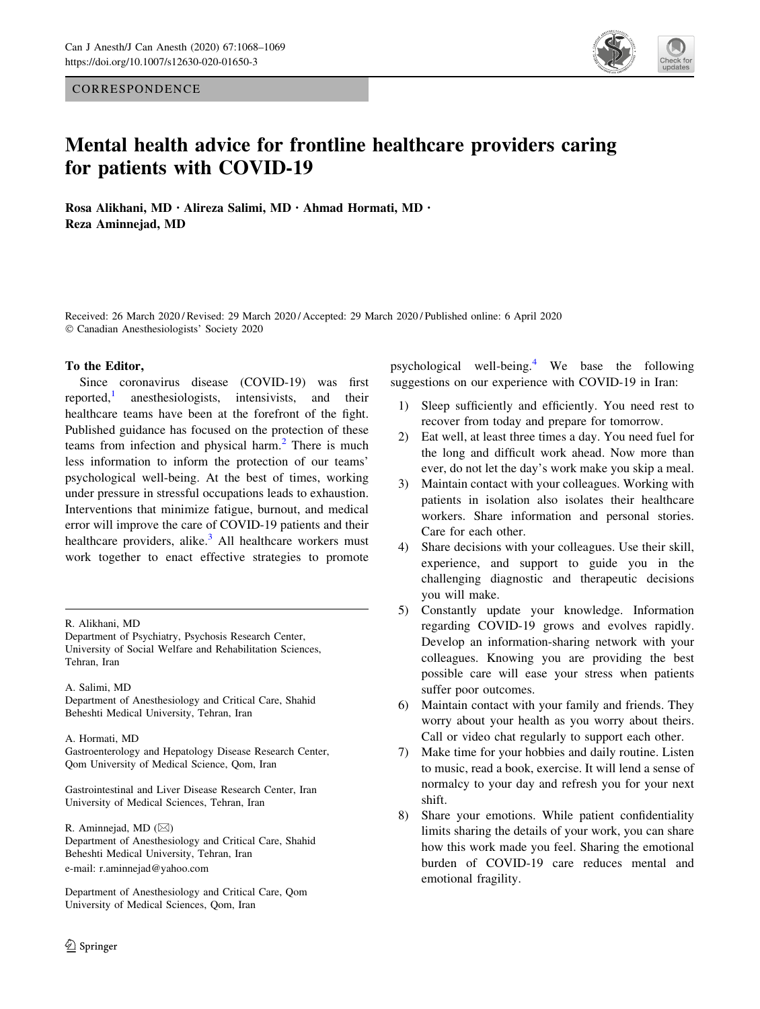**CORRESPONDENCE** 



# Mental health advice for frontline healthcare providers caring for patients with COVID-19

Rosa Alikhani, MD . Alireza Salimi, MD . Ahmad Hormati, MD . Reza Aminnejad, MD

Received: 26 March 2020 / Revised: 29 March 2020 / Accepted: 29 March 2020 / Published online: 6 April 2020 © Canadian Anesthesiologists' Society 2020

### To the Editor,

Since coronavirus disease (COVID-19) was first reported, $\frac{1}{1}$  $\frac{1}{1}$  $\frac{1}{1}$  anesthesiologists, intensivists, and their healthcare teams have been at the forefront of the fight. Published guidance has focused on the protection of these teams from infection and physical harm.<sup>[2](#page-1-0)</sup> There is much less information to inform the protection of our teams' psychological well-being. At the best of times, working under pressure in stressful occupations leads to exhaustion. Interventions that minimize fatigue, burnout, and medical error will improve the care of COVID-19 patients and their healthcare providers, alike. $3$  All healthcare workers must work together to enact effective strategies to promote

Department of Psychiatry, Psychosis Research Center, University of Social Welfare and Rehabilitation Sciences, Tehran, Iran

#### A. Salimi, MD

Department of Anesthesiology and Critical Care, Shahid Beheshti Medical University, Tehran, Iran

#### A. Hormati, MD

Gastroenterology and Hepatology Disease Research Center, Qom University of Medical Science, Qom, Iran

Gastrointestinal and Liver Disease Research Center, Iran University of Medical Sciences, Tehran, Iran

R. Aminnejad, MD ( $\boxtimes$ ) Department of Anesthesiology and Critical Care, Shahid Beheshti Medical University, Tehran, Iran e-mail: r.aminnejad@yahoo.com

Department of Anesthesiology and Critical Care, Qom University of Medical Sciences, Qom, Iran

psychological well-being.[4](#page-1-0) We base the following suggestions on our experience with COVID-19 in Iran:

- 1) Sleep sufficiently and efficiently. You need rest to recover from today and prepare for tomorrow.
- 2) Eat well, at least three times a day. You need fuel for the long and difficult work ahead. Now more than ever, do not let the day's work make you skip a meal.
- 3) Maintain contact with your colleagues. Working with patients in isolation also isolates their healthcare workers. Share information and personal stories. Care for each other.
- 4) Share decisions with your colleagues. Use their skill, experience, and support to guide you in the challenging diagnostic and therapeutic decisions you will make.
- 5) Constantly update your knowledge. Information regarding COVID-19 grows and evolves rapidly. Develop an information-sharing network with your colleagues. Knowing you are providing the best possible care will ease your stress when patients suffer poor outcomes.
- 6) Maintain contact with your family and friends. They worry about your health as you worry about theirs. Call or video chat regularly to support each other.
- 7) Make time for your hobbies and daily routine. Listen to music, read a book, exercise. It will lend a sense of normalcy to your day and refresh you for your next shift.
- 8) Share your emotions. While patient confidentiality limits sharing the details of your work, you can share how this work made you feel. Sharing the emotional burden of COVID-19 care reduces mental and emotional fragility.

R. Alikhani, MD